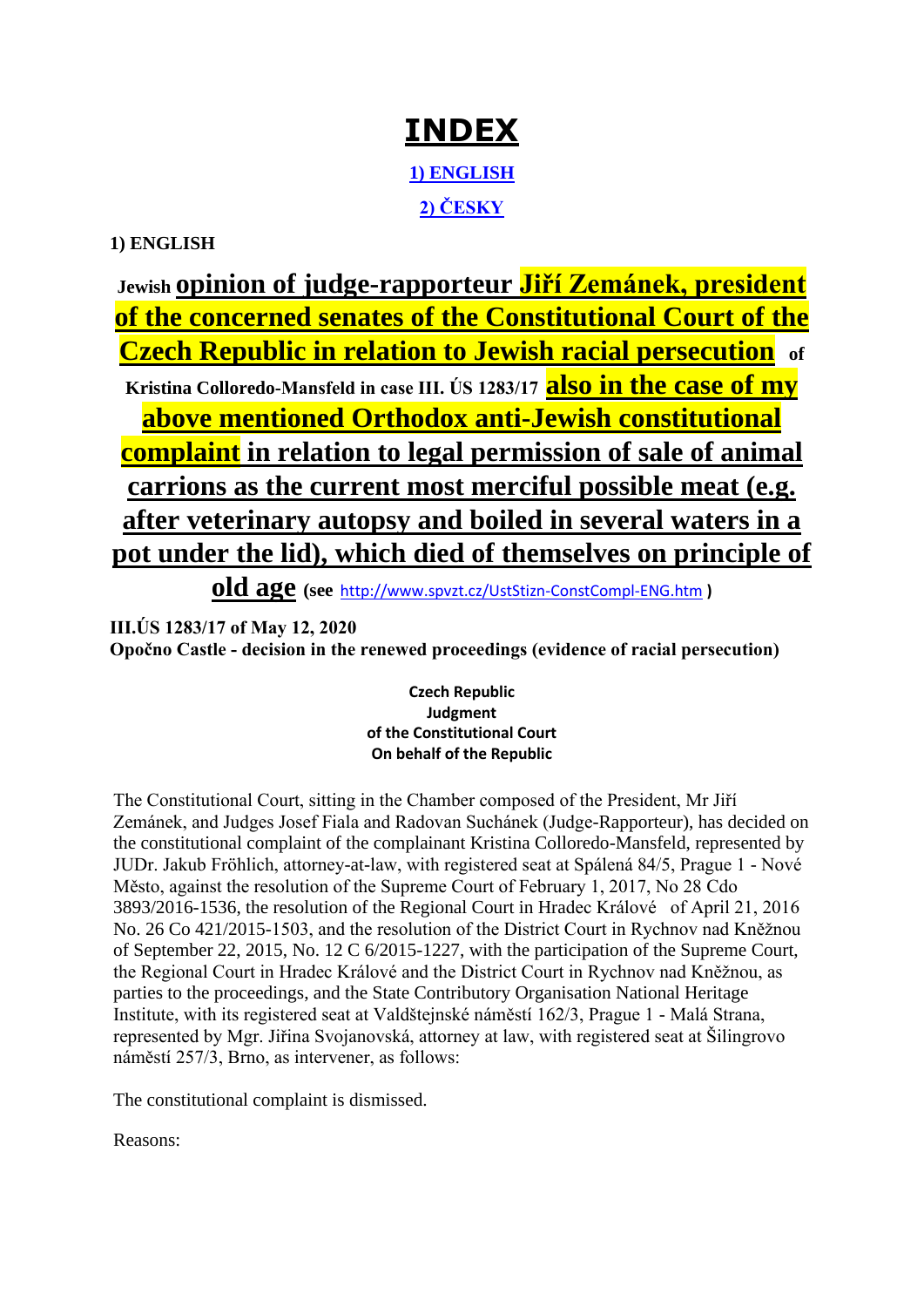# **[INDEX](http://www.spvzt.cz/)**

**[1\) ENGLISH](#page-0-0) [2\) ČESKY](#page-2-0)**

# <span id="page-0-1"></span><span id="page-0-0"></span>**1) ENGLISH**

**Jewish opinion of judge-rapporteur Jiří Zemánek, president of the concerned senates of the Constitutional Court of the Czech Republic in relation to Jewish racial persecution of Kristina Colloredo-Mansfeld in case III. ÚS 1283/17 also in the case of my above mentioned Orthodox anti-Jewish constitutional** 

**complaint in relation to legal permission of sale of animal carrions as the current most merciful possible meat (e.g. after veterinary autopsy and boiled in several waters in a pot under the lid), which died of themselves on principle of** 

**old age (see** <http://www.spvzt.cz/UstStizn-ConstCompl-ENG.htm> **)**

**III.ÚS 1283/17 of May 12, 2020 Opočno Castle - decision in the renewed proceedings (evidence of racial persecution)**

> **Czech Republic Judgment of the Constitutional Court On behalf of the Republic**

The Constitutional Court, sitting in the Chamber composed of the President, Mr Jiří Zemánek, and Judges Josef Fiala and Radovan Suchánek (Judge-Rapporteur), has decided on the constitutional complaint of the complainant Kristina Colloredo-Mansfeld, represented by JUDr. Jakub Fröhlich, attorney-at-law, with registered seat at Spálená 84/5, Prague 1 - Nové Město, against the resolution of the Supreme Court of February 1, 2017, No 28 Cdo 3893/2016-1536, the resolution of the Regional Court in Hradec Králové of April 21, 2016 No. 26 Co 421/2015-1503, and the resolution of the District Court in Rychnov nad Kněžnou of September 22, 2015, No. 12 C 6/2015-1227, with the participation of the Supreme Court, the Regional Court in Hradec Králové and the District Court in Rychnov nad Kněžnou, as parties to the proceedings, and the State Contributory Organisation National Heritage Institute, with its registered seat at Valdštejnské náměstí 162/3, Prague 1 - Malá Strana, represented by Mgr. Jiřina Svojanovská, attorney at law, with registered seat at Šilingrovo náměstí 257/3, Brno, as intervener, as follows:

The constitutional complaint is dismissed.

Reasons: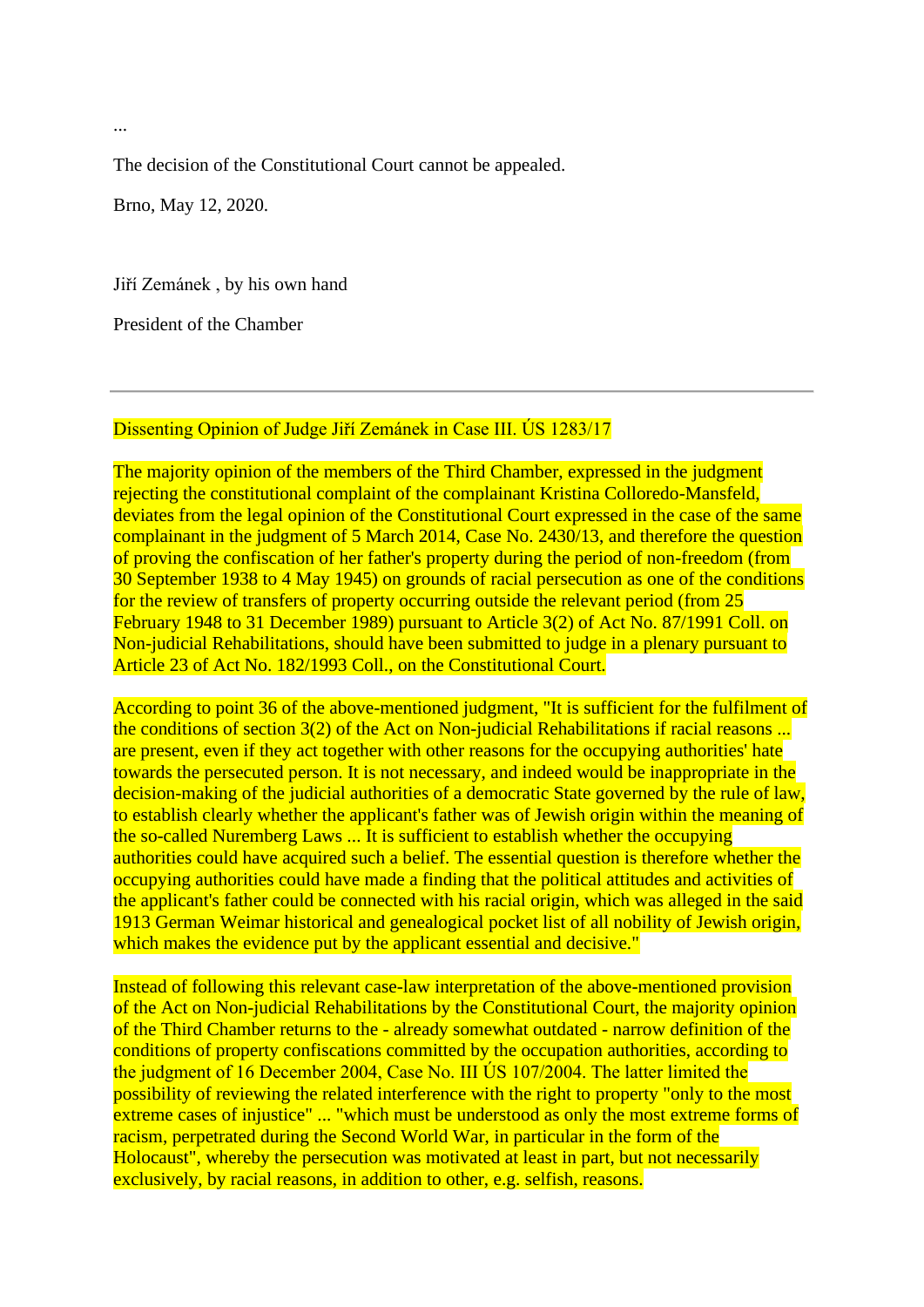The decision of the Constitutional Court cannot be appealed.

Brno, May 12, 2020.

Jiří Zemánek , by his own hand

President of the Chamber

#### Dissenting Opinion of Judge Jiří Zemánek in Case III. ÚS 1283/17

The majority opinion of the members of the Third Chamber, expressed in the judgment rejecting the constitutional complaint of the complainant Kristina Colloredo-Mansfeld, deviates from the legal opinion of the Constitutional Court expressed in the case of the same complainant in the judgment of 5 March 2014, Case No. 2430/13, and therefore the question of proving the confiscation of her father's property during the period of non-freedom (from 30 September 1938 to 4 May 1945) on grounds of racial persecution as one of the conditions for the review of transfers of property occurring outside the relevant period (from 25 February 1948 to 31 December 1989) pursuant to Article 3(2) of Act No. 87/1991 Coll. on Non-judicial Rehabilitations, should have been submitted to judge in a plenary pursuant to Article 23 of Act No. 182/1993 Coll., on the Constitutional Court.

According to point 36 of the above-mentioned judgment, "It is sufficient for the fulfilment of the conditions of section 3(2) of the Act on Non-judicial Rehabilitations if racial reasons ... are present, even if they act together with other reasons for the occupying authorities' hate towards the persecuted person. It is not necessary, and indeed would be inappropriate in the decision-making of the judicial authorities of a democratic State governed by the rule of law, to establish clearly whether the applicant's father was of Jewish origin within the meaning of the so-called Nuremberg Laws ... It is sufficient to establish whether the occupying authorities could have acquired such a belief. The essential question is therefore whether the occupying authorities could have made a finding that the political attitudes and activities of the applicant's father could be connected with his racial origin, which was alleged in the said 1913 German Weimar historical and genealogical pocket list of all nobility of Jewish origin, which makes the evidence put by the applicant essential and decisive."

Instead of following this relevant case-law interpretation of the above-mentioned provision of the Act on Non-judicial Rehabilitations by the Constitutional Court, the majority opinion of the Third Chamber returns to the - already somewhat outdated - narrow definition of the conditions of property confiscations committed by the occupation authorities, according to the judgment of 16 December 2004, Case No. III ÚS 107/2004. The latter limited the possibility of reviewing the related interference with the right to property "only to the most extreme cases of injustice" ... "which must be understood as only the most extreme forms of racism, perpetrated during the Second World War, in particular in the form of the Holocaust", whereby the persecution was motivated at least in part, but not necessarily exclusively, by racial reasons, in addition to other, e.g. selfish, reasons.

...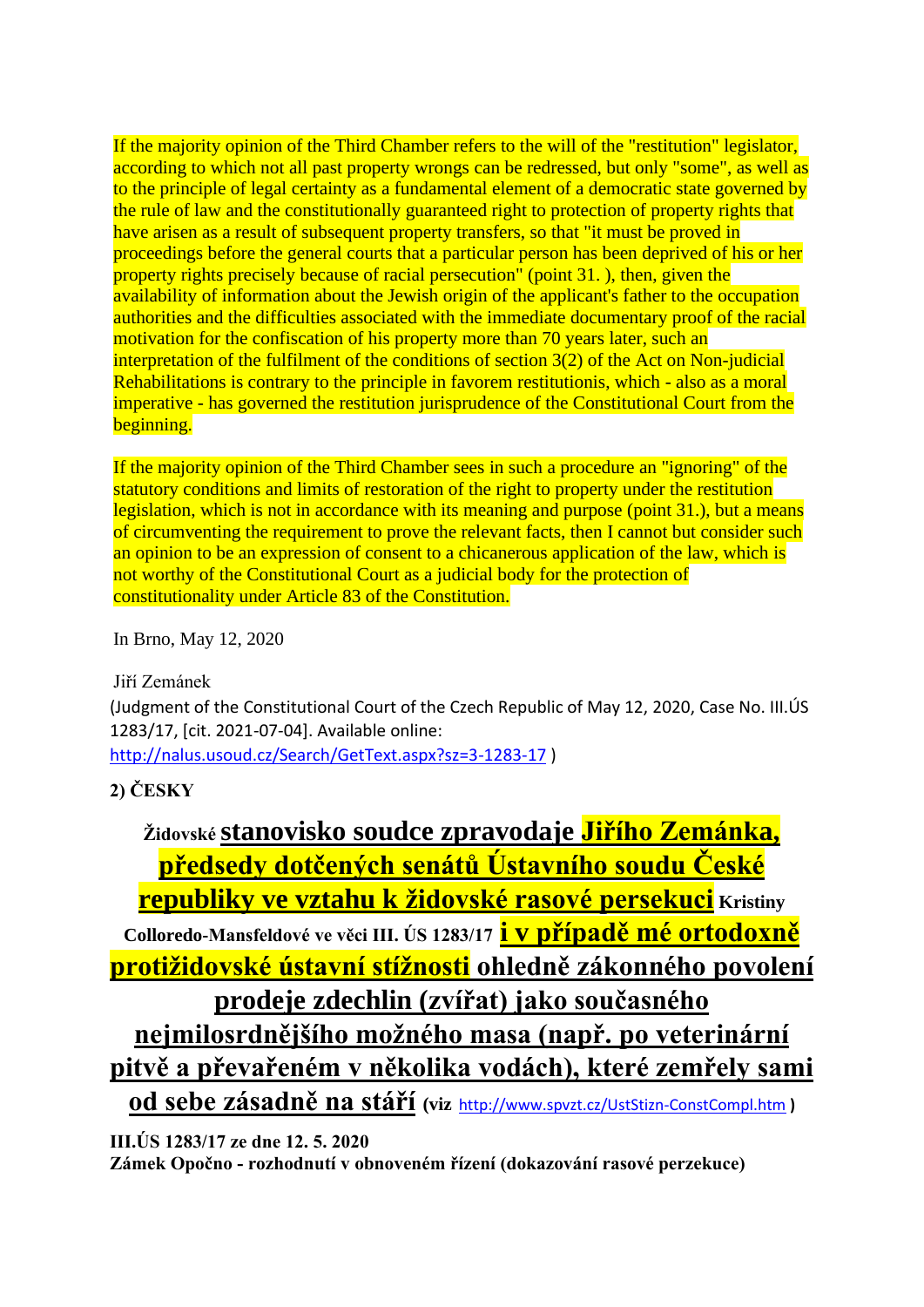If the majority opinion of the Third Chamber refers to the will of the "restitution" legislator, according to which not all past property wrongs can be redressed, but only "some", as well as to the principle of legal certainty as a fundamental element of a democratic state governed by the rule of law and the constitutionally guaranteed right to protection of property rights that have arisen as a result of subsequent property transfers, so that "it must be proved in proceedings before the general courts that a particular person has been deprived of his or her property rights precisely because of racial persecution" (point 31. ), then, given the availability of information about the Jewish origin of the applicant's father to the occupation authorities and the difficulties associated with the immediate documentary proof of the racial motivation for the confiscation of his property more than 70 years later, such an interpretation of the fulfilment of the conditions of section 3(2) of the Act on Non-judicial Rehabilitations is contrary to the principle in favorem restitutionis, which - also as a moral imperative - has governed the restitution jurisprudence of the Constitutional Court from the beginning.

If the majority opinion of the Third Chamber sees in such a procedure an "ignoring" of the statutory conditions and limits of restoration of the right to property under the restitution legislation, which is not in accordance with its meaning and purpose (point 31.), but a means of circumventing the requirement to prove the relevant facts, then I cannot but consider such an opinion to be an expression of consent to a chicanerous application of the law, which is not worthy of the Constitutional Court as a judicial body for the protection of constitutionality under Article 83 of the Constitution.

In Brno, May 12, 2020

Jiří Zemánek

(Judgment of the Constitutional Court of the Czech Republic of May 12, 2020, Case No. III.ÚS 1283/17, [cit. 2021-07-04]. Available online:

<http://nalus.usoud.cz/Search/GetText.aspx?sz=3-1283-17> )

<span id="page-2-0"></span>**2) ČESKY**

| Židovské <b>Stanovisko soudce zpravodaje Jiřího Zemánka</b> ,                       |
|-------------------------------------------------------------------------------------|
| <u>předsedy dotčených senátů Ústavního soudu České</u>                              |
| <b>republiky ve vztahu k židovské rasové persekuci</b> Kristiny                     |
| Colloredo-Mansfeldové ve věci III. ÚS 1283/17 <mark>i v případě mé ortodoxně</mark> |
| <mark>protižidovské ústavní stížnosti</mark> ohledně zákonného povolení             |
| prodeje zdechlin (zvířat) jako současného                                           |
| nejmilosrdnějšího možného masa (např. po veterinární                                |
| pitvě a převařeném v několika vodách), které zemřely sami                           |
| od sebe zásadně na stáří (viz http://www.spyzt.cz/UstStizn-ConstCompl.htm)          |

```
III.ÚS 1283/17 ze dne 12. 5. 2020
```
**Zámek Opočno - rozhodnutí v obnoveném řízení (dokazování rasové perzekuce)**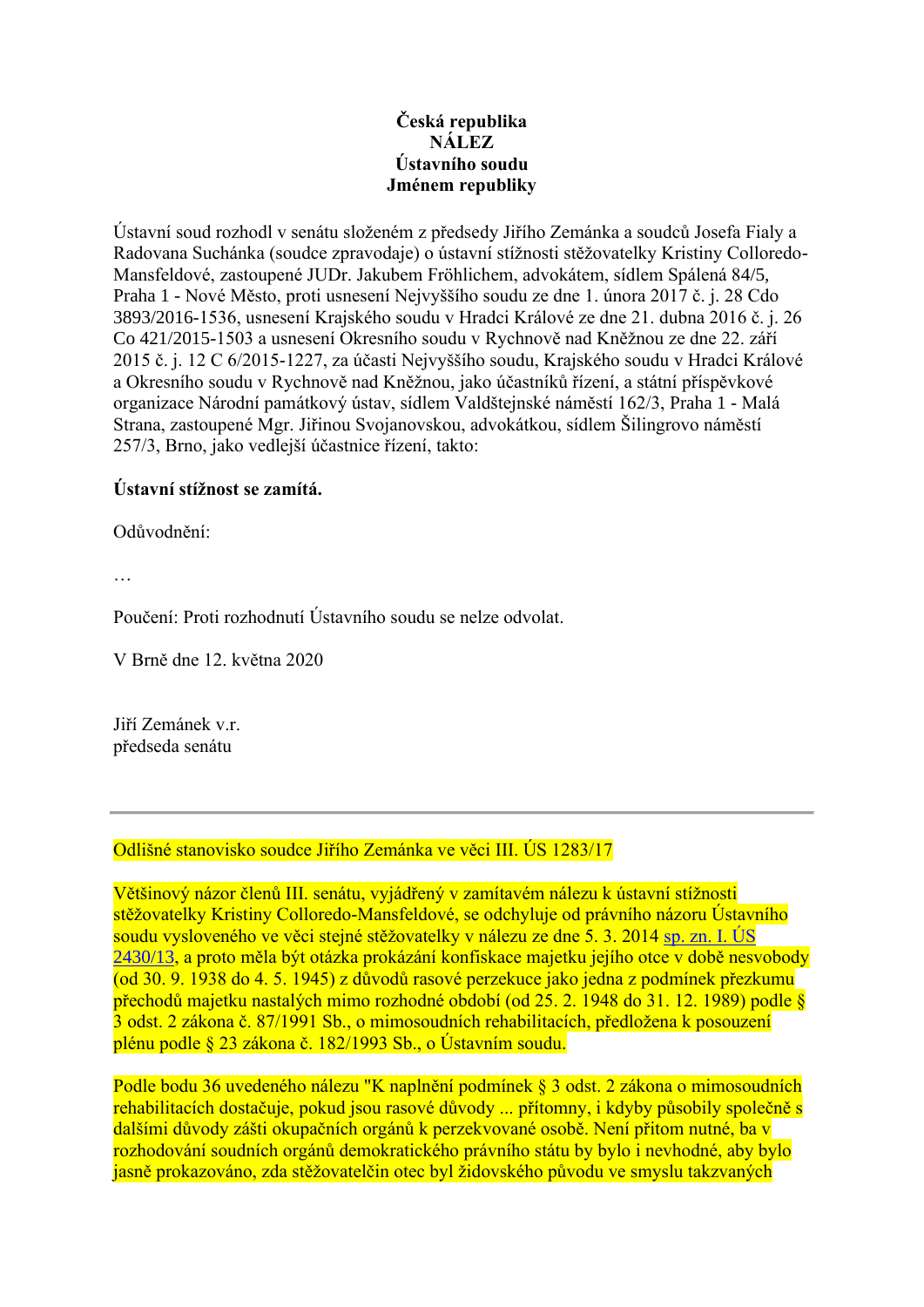### **Česká republika NÁLEZ Ústavního soudu Jménem republiky**

Ústavní soud rozhodl v senátu složeném z předsedy Jiřího Zemánka a soudců Josefa Fialy a Radovana Suchánka (soudce zpravodaje) o ústavní stížnosti stěžovatelky Kristiny Colloredo-Mansfeldové, zastoupené JUDr. Jakubem Fröhlichem, advokátem, sídlem Spálená 84/5, Praha 1 - Nové Město, proti usnesení Nejvyššího soudu ze dne 1. února 2017 č. j. 28 Cdo 3893/2016-1536, usnesení Krajského soudu v Hradci Králové ze dne 21. dubna 2016 č. j. 26 Co 421/2015-1503 a usnesení Okresního soudu v Rychnově nad Kněžnou ze dne 22. září 2015 č. j. 12 C 6/2015-1227, za účasti Nejvyššího soudu, Krajského soudu v Hradci Králové a Okresního soudu v Rychnově nad Kněžnou, jako účastníků řízení, a státní příspěvkové organizace Národní památkový ústav, sídlem Valdštejnské náměstí 162/3, Praha 1 - Malá Strana, zastoupené Mgr. Jiřinou Svojanovskou, advokátkou, sídlem Šilingrovo náměstí 257/3, Brno, jako vedlejší účastnice řízení, takto:

### **Ústavní stížnost se zamítá.**

Odůvodnění:

…

Poučení: Proti rozhodnutí Ústavního soudu se nelze odvolat.

V Brně dne 12. května 2020

Jiří Zemánek v.r. předseda senátu

Odlišné stanovisko soudce Jiřího Zemánka ve věci III. ÚS 1283/17

Většinový názor členů III. senátu, vyjádřený v zamítavém nálezu k ústavní stížnosti stěžovatelky Kristiny Colloredo-Mansfeldové, se odchyluje od právního názoru Ústavního soudu vysloveného ve věci stejné stěžovatelky v nálezu ze dne 5. 3. 2014 [sp. zn. I. ÚS](https://nalus.usoud.cz/Search/GetRegSignDecisions.aspx?sz=1-2430-13)  [2430/13,](https://nalus.usoud.cz/Search/GetRegSignDecisions.aspx?sz=1-2430-13) a proto měla být otázka prokázání konfiskace majetku jejího otce v době nesvobody (od 30. 9. 1938 do 4. 5. 1945) z důvodů rasové perzekuce jako jedna z podmínek přezkumu přechodů majetku nastalých mimo rozhodné období (od 25. 2. 1948 do 31. 12. 1989) podle § 3 odst. 2 zákona č. 87/1991 Sb., o mimosoudních rehabilitacích, předložena k posouzení plénu podle § 23 zákona č. 182/1993 Sb., o Ústavním soudu.

Podle bodu 36 uvedeného nálezu "K naplnění podmínek § 3 odst. 2 zákona o mimosoudních rehabilitacích dostačuje, pokud jsou rasové důvody ... přítomny, i kdyby působily společně s dalšími důvody zášti okupačních orgánů k perzekvované osobě. Není přitom nutné, ba v rozhodování soudních orgánů demokratického právního státu by bylo i nevhodné, aby bylo jasně prokazováno, zda stěžovatelčin otec byl židovského původu ve smyslu takzvaných